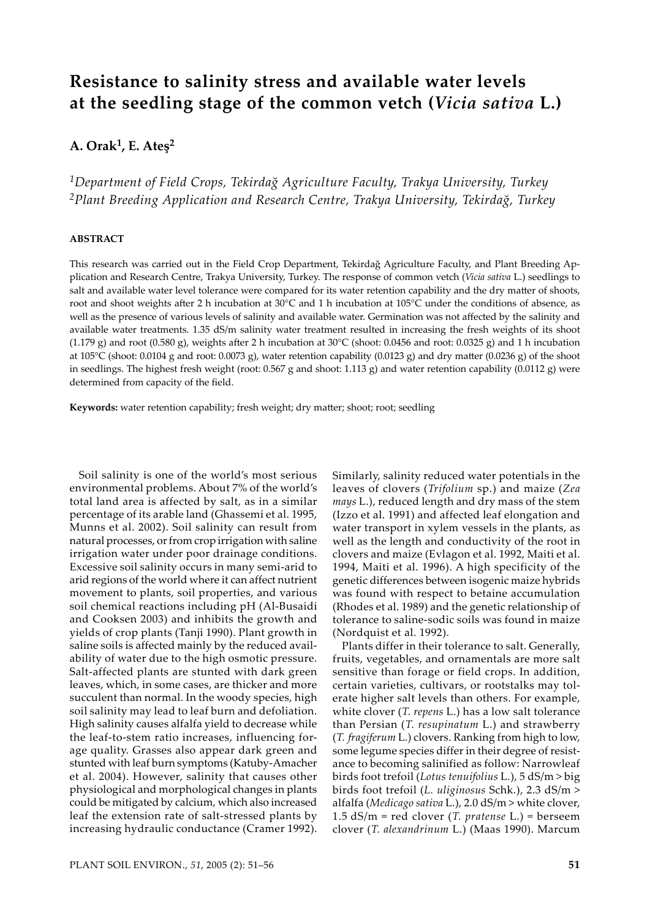# **Resistance to salinity stress and available water levels at the seedling stage of the common vetch (***Vicia sativa* **L.)**

# **A. Orak1, E. Ateş2**

*1Department of Field Crops, Tekirdağ Agriculture Faculty, Trakya University, Turkey 2Plant Breeding Application and Research Centre, Trakya University, Tekirdağ, Turkey*

#### **ABSTRACT**

This research was carried out in the Field Crop Department, Tekirdağ Agriculture Faculty, and Plant Breeding Application and Research Centre, Trakya University, Turkey. The response of common vetch (*Vicia sativa* L.) seedlings to salt and available water level tolerance were compared for its water retention capability and the dry matter of shoots, root and shoot weights a�er 2 h incubation at 30°C and 1 h incubation at 105°C under the conditions of absence, as well as the presence of various levels of salinity and available water. Germination was not affected by the salinity and available water treatments. 1.35 dS/m salinity water treatment resulted in increasing the fresh weights of its shoot (1.179 g) and root (0.580 g), weights after 2 h incubation at  $30^{\circ}$ C (shoot: 0.0456 and root: 0.0325 g) and 1 h incubation at 105°C (shoot: 0.0104 g and root: 0.0073 g), water retention capability (0.0123 g) and dry matter (0.0236 g) of the shoot in seedlings. The highest fresh weight (root: 0.567 g and shoot: 1.113 g) and water retention capability (0.0112 g) were determined from capacity of the field.

**Keywords:** water retention capability; fresh weight; dry ma�er; shoot; root; seedling

Soil salinity is one of the world's most serious environmental problems. About 7% of the world's total land area is affected by salt, as in a similar percentage of its arable land (Ghassemi et al. 1995, Munns et al. 2002). Soil salinity can result from natural processes, or from crop irrigation with saline irrigation water under poor drainage conditions. Excessive soil salinity occurs in many semi-arid to arid regions of the world where it can affect nutrient movement to plants, soil properties, and various soil chemical reactions including pH (Al-Busaidi and Cooksen 2003) and inhibits the growth and yields of crop plants (Tanji 1990). Plant growth in saline soils is affected mainly by the reduced availability of water due to the high osmotic pressure. Salt-affected plants are stunted with dark green leaves, which, in some cases, are thicker and more succulent than normal. In the woody species, high soil salinity may lead to leaf burn and defoliation. High salinity causes alfalfa yield to decrease while the leaf-to-stem ratio increases, influencing forage quality. Grasses also appear dark green and stunted with leaf burn symptoms (Katuby-Amacher et al. 2004). However, salinity that causes other physiological and morphological changes in plants could be mitigated by calcium, which also increased leaf the extension rate of salt-stressed plants by increasing hydraulic conductance (Cramer 1992).

Similarly, salinity reduced water potentials in the leaves of clovers (*Trifolium* sp.) and maize (*Zea mays* L.), reduced length and dry mass of the stem (Izzo et al. 1991) and affected leaf elongation and water transport in xylem vessels in the plants, as well as the length and conductivity of the root in clovers and maize (Evlagon et al. 1992, Maiti et al. 1994, Maiti et al. 1996). A high specificity of the genetic differences between isogenic maize hybrids was found with respect to betaine accumulation (Rhodes et al. 1989) and the genetic relationship of tolerance to saline-sodic soils was found in maize (Nordquist et al. 1992).

Plants differ in their tolerance to salt. Generally, fruits, vegetables, and ornamentals are more salt sensitive than forage or field crops. In addition, certain varieties, cultivars, or rootstalks may tolerate higher salt levels than others. For example, white clover (*T. repens* L.) has a low salt tolerance than Persian (*T. resupinatum* L.) and strawberry (*T. fragiferum* L.) clovers. Ranking from high to low, some legume species differ in their degree of resistance to becoming salinified as follow: Narrowleaf birds foot trefoil (*Lotus tenuifolius* L.), 5 dS/m > big birds foot trefoil (*L. uliginosus* Schk.), 2.3 dS/m > alfalfa (*Medicago sativa* L.), 2.0 dS/m > white clover, 1.5 dS/m = red clover (*T. pratense* L.) = berseem clover (*T. alexandrinum* L.) (Maas 1990). Marcum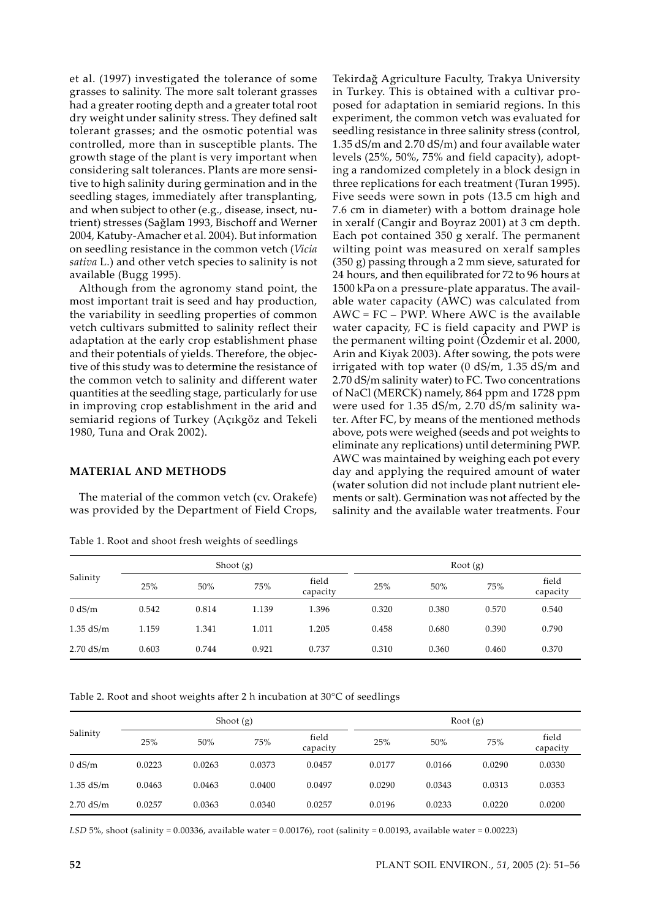et al. (1997) investigated the tolerance of some grasses to salinity. The more salt tolerant grasses had a greater rooting depth and a greater total root dry weight under salinity stress. They defined salt tolerant grasses; and the osmotic potential was controlled, more than in susceptible plants. The growth stage of the plant is very important when considering salt tolerances. Plants are more sensitive to high salinity during germination and in the seedling stages, immediately after transplanting, and when subject to other (e.g., disease, insect, nutrient) stresses (Sağlam 1993, Bischoff and Werner 2004, Katuby-Amacher et al. 2004). But information on seedling resistance in the common vetch (*Vicia sativa* L.) and other vetch species to salinity is not available (Bugg 1995).

Although from the agronomy stand point, the most important trait is seed and hay production, the variability in seedling properties of common vetch cultivars submitted to salinity reflect their adaptation at the early crop establishment phase and their potentials of yields. Therefore, the objective of this study was to determine the resistance of the common vetch to salinity and different water quantities at the seedling stage, particularly for use in improving crop establishment in the arid and semiarid regions of Turkey (Açıkgöz and Tekeli 1980, Tuna and Orak 2002).

## **MATERIAL AND METHODS**

The material of the common vetch (cv. Orakefe) was provided by the Department of Field Crops,

Table 1. Root and shoot fresh weights of seedlings

Tekirdağ Agriculture Faculty, Trakya University in Turkey. This is obtained with a cultivar proposed for adaptation in semiarid regions. In this experiment, the common vetch was evaluated for seedling resistance in three salinity stress (control, 1.35 dS/m and 2.70 dS/m) and four available water levels (25%, 50%, 75% and field capacity), adopting a randomized completely in a block design in three replications for each treatment (Turan 1995). Five seeds were sown in pots (13.5 cm high and 7.6 cm in diameter) with a bottom drainage hole in xeralf (Cangir and Boyraz 2001) at 3 cm depth. Each pot contained 350 g xeralf. The permanent wilting point was measured on xeralf samples (350 g) passing through a 2 mm sieve, saturated for 24 hours, and then equilibrated for 72 to 96 hours at 1500 kPa on a pressure-plate apparatus. The available water capacity (AWC) was calculated from AWC = FC – PWP. Where AWC is the available water capacity, FC is field capacity and PWP is the permanent wilting point (Özdemir et al. 2000, Arin and Kiyak 2003). After sowing, the pots were irrigated with top water (0 dS/m, 1.35 dS/m and 2.70 dS/m salinity water) to FC. Two concentrations of NaCl (MERCK) namely, 864 ppm and 1728 ppm were used for 1.35 dS/m, 2.70 dS/m salinity water. After FC, by means of the mentioned methods above, pots were weighed (seeds and pot weights to eliminate any replications) until determining PWP. AWC was maintained by weighing each pot every day and applying the required amount of water (water solution did not include plant nutrient elements or salt). Germination was not affected by the salinity and the available water treatments. Four

| Salinity    | Shoot $(g)$ |       |       |                   | Root $(g)$ |       |       |                   |
|-------------|-------------|-------|-------|-------------------|------------|-------|-------|-------------------|
|             | 25%         | 50%   | 75%   | field<br>capacity | 25%        | 50%   | 75%   | field<br>capacity |
| 0 dS/m      | 0.542       | 0.814 | 1.139 | 1.396             | 0.320      | 0.380 | 0.570 | 0.540             |
| $1.35$ dS/m | 1.159       | 1.341 | 1.011 | 1.205             | 0.458      | 0.680 | 0.390 | 0.790             |
| $2.70$ dS/m | 0.603       | 0.744 | 0.921 | 0.737             | 0.310      | 0.360 | 0.460 | 0.370             |

Table 2. Root and shoot weights after 2 h incubation at 30°C of seedlings

| Salinity    | Shoot $(g)$ |        |        |                   | Root $(g)$ |        |        |                   |
|-------------|-------------|--------|--------|-------------------|------------|--------|--------|-------------------|
|             | 25%         | 50%    | 75%    | field<br>capacity | 25%        | 50%    | 75%    | field<br>capacity |
| 0 dS/m      | 0.0223      | 0.0263 | 0.0373 | 0.0457            | 0.0177     | 0.0166 | 0.0290 | 0.0330            |
| $1.35$ dS/m | 0.0463      | 0.0463 | 0.0400 | 0.0497            | 0.0290     | 0.0343 | 0.0313 | 0.0353            |
| $2.70$ dS/m | 0.0257      | 0.0363 | 0.0340 | 0.0257            | 0.0196     | 0.0233 | 0.0220 | 0.0200            |

*LSD* 5%, shoot (salinity = 0.00336, available water = 0.00176), root (salinity = 0.00193, available water = 0.00223)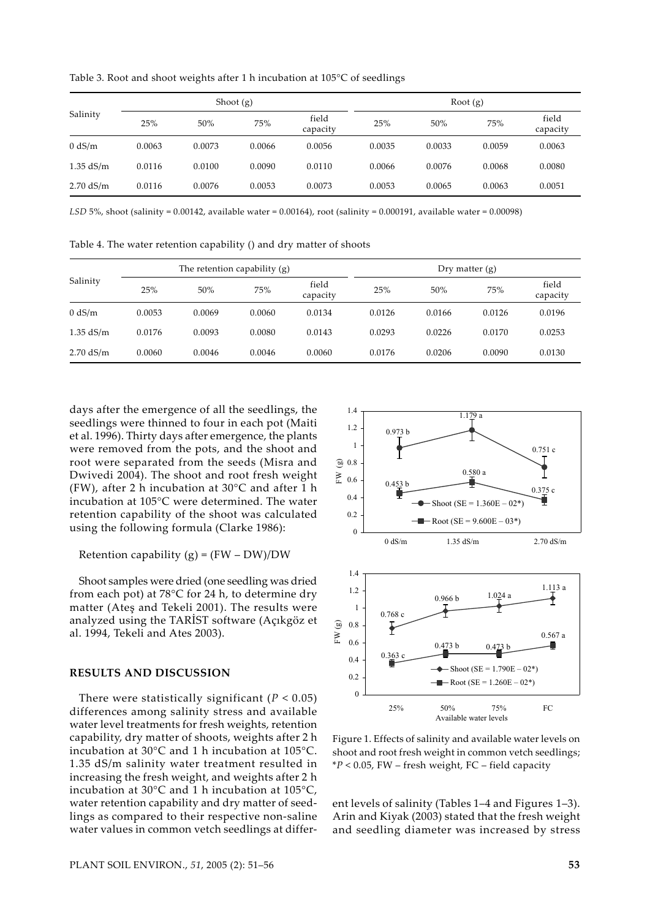Table 3. Root and shoot weights after 1 h incubation at 105°C of seedlings

| Salinity    | Shoot $(g)$ |        |        |                   | Root $(g)$ |        |        |                   |
|-------------|-------------|--------|--------|-------------------|------------|--------|--------|-------------------|
|             | 25%         | 50%    | 75%    | field<br>capacity | 25%        | 50%    | 75%    | field<br>capacity |
| 0 dS/m      | 0.0063      | 0.0073 | 0.0066 | 0.0056            | 0.0035     | 0.0033 | 0.0059 | 0.0063            |
| $1.35$ dS/m | 0.0116      | 0.0100 | 0.0090 | 0.0110            | 0.0066     | 0.0076 | 0.0068 | 0.0080            |
| $2.70$ dS/m | 0.0116      | 0.0076 | 0.0053 | 0.0073            | 0.0053     | 0.0065 | 0.0063 | 0.0051            |

*LSD* 5%, shoot (salinity =  $0.00142$ , available water =  $0.00164$ ), root (salinity =  $0.000191$ , available water =  $0.00098$ )

Table 4. The water retention capability () and dry matter of shoots

| Salinity    | The retention capability $(g)$ |        |        |                   | Dry matter $(g)$ |        |        |                   |  |
|-------------|--------------------------------|--------|--------|-------------------|------------------|--------|--------|-------------------|--|
|             | 25%                            | 50%    | 75%    | field<br>capacity | 25%              | 50%    | 75%    | field<br>capacity |  |
| 0 dS/m      | 0.0053                         | 0.0069 | 0.0060 | 0.0134            | 0.0126           | 0.0166 | 0.0126 | 0.0196            |  |
| $1.35$ dS/m | 0.0176                         | 0.0093 | 0.0080 | 0.0143            | 0.0293           | 0.0226 | 0.0170 | 0.0253            |  |
| $2.70$ dS/m | 0.0060                         | 0.0046 | 0.0046 | 0.0060            | 0.0176           | 0.0206 | 0.0090 | 0.0130            |  |

days after the emergence of all the seedlings, the seedlings were thinned to four in each pot (Maiti et al. 1996). Thirty days after emergence, the plants were removed from the pots, and the shoot and root were separated from the seeds (Misra and Dwivedi 2004). The shoot and root fresh weight (FW), after 2 h incubation at 30°C and after 1 h incubation at 105°C were determined. The water retention capability of the shoot was calculated using the following formula (Clarke 1986):

Retention capability  $(g) = (FW - DW)/DW$ 

Shoot samples were dried (one seedling was dried from each pot) at 78°C for 24 h, to determine dry matter (Ateş and Tekeli 2001). The results were analyzed using the TARİST software (Açıkgöz et al. 1994, Tekeli and Ates 2003).

#### **RESULTS AND DISCUSSION**

There were statistically significant  $(P < 0.05)$ differences among salinity stress and available water level treatments for fresh weights, retention capability, dry matter of shoots, weights after 2 h incubation at 30°C and 1 h incubation at 105°C. 1.35 dS/m salinity water treatment resulted in increasing the fresh weight, and weights after 2 h incubation at 30°C and 1 h incubation at 105°C, water retention capability and dry matter of seedlings as compared to their respective non-saline water values in common vetch seedlings at differ-



Figure 1. Effects of salinity and available water levels on shoot and root fresh weight in common vetch seedlings; \**P* < 0.05, FW – fresh weight, FC – field capacity

ent levels of salinity (Tables 1–4 and Figures 1–3). Arin and Kiyak (2003) stated that the fresh weight and seedling diameter was increased by stress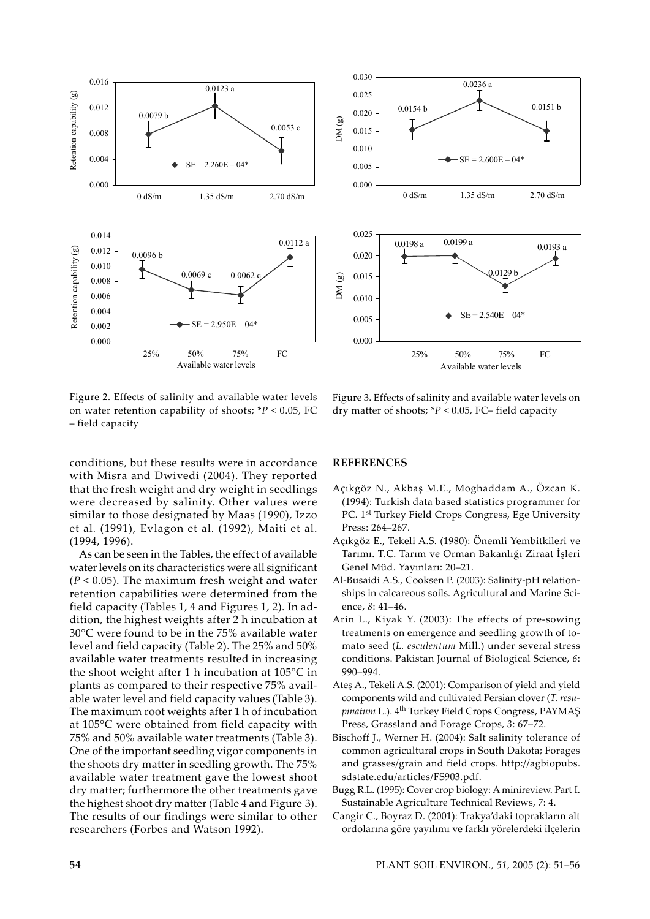



Figure 2. Effects of salinity and available water levels on water retention capability of shoots; \**P* < 0.05, FC – field capacity

Figure 3. Effects of salinity and available water levels on dry matter of shoots; \**P* < 0.05, FC– field capacity

conditions, but these results were in accordance with Misra and Dwivedi (2004). They reported that the fresh weight and dry weight in seedlings were decreased by salinity. Other values were similar to those designated by Maas (1990), Izzo et al*.* (1991), Evlagon et al*.* (1992), Maiti et al. (1994, 1996).

As can be seen in the Tables, the effect of available water levels on its characteristics were all significant (*P* < 0.05). The maximum fresh weight and water retention capabilities were determined from the field capacity (Tables 1, 4 and Figures 1, 2). In addition, the highest weights after 2 h incubation at 30°C were found to be in the 75% available water level and field capacity (Table 2). The 25% and 50% available water treatments resulted in increasing the shoot weight after 1 h incubation at 105°C in plants as compared to their respective 75% available water level and field capacity values (Table 3). The maximum root weights after 1 h of incubation at 105°C were obtained from field capacity with 75% and 50% available water treatments (Table 3). One of the important seedling vigor components in the shoots dry matter in seedling growth. The 75% available water treatment gave the lowest shoot dry matter; furthermore the other treatments gave the highest shoot dry matter (Table 4 and Figure 3). The results of our findings were similar to other researchers (Forbes and Watson 1992).

## **REFERENCES**

- Açıkgöz N., Akbaş M.E., Moghaddam A., Özcan K. (1994): Turkish data based statistics programmer for PC. 1<sup>st</sup> Turkey Field Crops Congress, Ege University Press: 264–267.
- Açıkgöz E., Tekeli A.S. (1980): Önemli Yembitkileri ve Tarımı. T.C. Tarım ve Orman Bakanlığı Ziraat İşleri Genel Müd. Yayınları: 20–21.
- Al-Busaidi A.S., Cooksen P. (2003): Salinity-pH relationships in calcareous soils. Agricultural and Marine Science, *8*: 41–46.
- Arin L., Kiyak Y. (2003): The effects of pre-sowing treatments on emergence and seedling growth of tomato seed (*L. esculentum* Mill.) under several stress conditions. Pakistan Journal of Biological Science, *6*: 990–994.
- Ateş A., Tekeli A.S. (2001): Comparison of yield and yield components wild and cultivated Persian clover (*T. resupinatum* L.). 4th Turkey Field Crops Congress, PAYMAŞ Press, Grassland and Forage Crops, *3*: 67–72.
- Bischoff J., Werner H. (2004): Salt salinity tolerance of common agricultural crops in South Dakota; Forages and grasses/grain and field crops. http://agbiopubs. sdstate.edu/articles/FS903.pdf.
- Bugg R.L. (1995): Cover crop biology: A minireview. Part I. Sustainable Agriculture Technical Reviews, *7*: 4.
- Cangir C., Boyraz D. (2001): Trakya'daki toprakların alt ordolarına göre yayılımı ve farklı yörelerdeki ilçelerin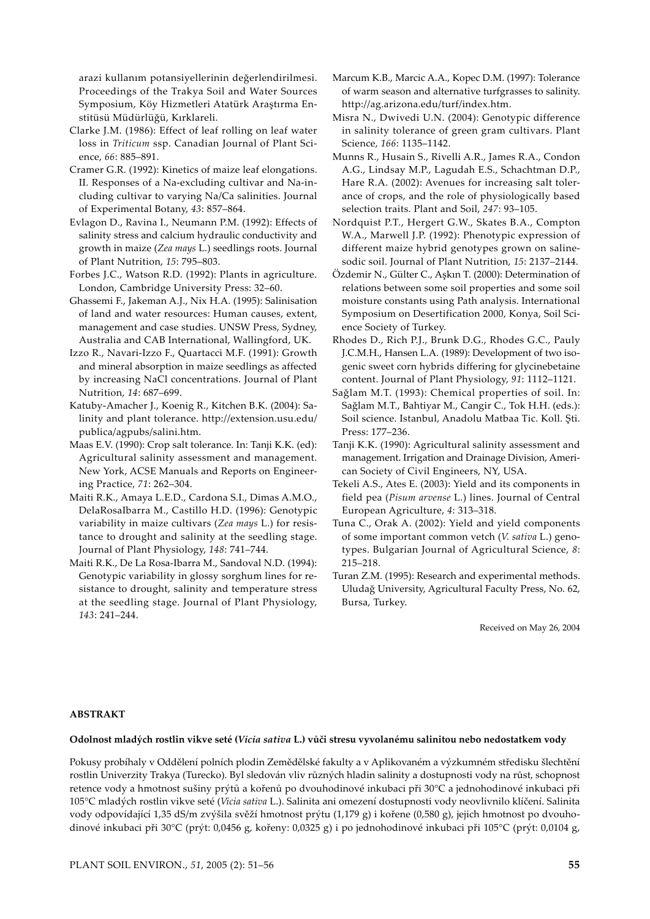arazi kullanım potansiyellerinin değerlendirilmesi. Proceedings of the Trakya Soil and Water Sources Symposium, Köy Hizmetleri Atatürk Araştırma Enstitüsü Müdürlüğü, Kırklareli.

- Clarke J.M. (1986): Effect of leaf rolling on leaf water loss in *Triticum* ssp. Canadian Journal of Plant Science, *66*: 885–891.
- Cramer G.R. (1992): Kinetics of maize leaf elongations. II. Responses of a Na-excluding cultivar and Na-including cultivar to varying Na/Ca salinities. Journal of Experimental Botany, *43*: 857–864.
- Evlagon D., Ravina I., Neumann P.M. (1992): Effects of salinity stress and calcium hydraulic conductivity and growth in maize (*Zea mays* L.) seedlings roots. Journal of Plant Nutrition, *15*: 795–803.
- Forbes J.C., Watson R.D. (1992): Plants in agriculture. London, Cambridge University Press: 32–60.
- Ghassemi F., Jakeman A.J., Nix H.A. (1995): Salinisation of land and water resources: Human causes, extent, management and case studies. UNSW Press, Sydney, Australia and CAB International, Wallingford, UK.
- Izzo R., Navari-Izzo F., Quartacci M.F. (1991): Growth and mineral absorption in maize seedlings as affected by increasing NaCl concentrations. Journal of Plant Nutrition, *14*: 687–699.
- Katuby-Amacher J., Koenig R., Kitchen B.K. (2004): Salinity and plant tolerance. http://extension.usu.edu/ publica/agpubs/salini.htm.
- Maas E.V. (1990): Crop salt tolerance. In: Tanji K.K. (ed): Agricultural salinity assessment and management. New York, ACSE Manuals and Reports on Engineering Practice, *71*: 262–304.
- Maiti R.K., Amaya L.E.D., Cardona S.I., Dimas A.M.O., DelaRosaIbarra M., Castillo H.D. (1996): Genotypic variability in maize cultivars (*Zea mays* L.) for resistance to drought and salinity at the seedling stage. Journal of Plant Physiology, *148*: 741–744.
- Maiti R.K., De La Rosa-Ibarra M., Sandoval N.D. (1994): Genotypic variability in glossy sorghum lines for resistance to drought, salinity and temperature stress at the seedling stage. Journal of Plant Physiology, *143*: 241–244.
- Marcum K.B., Marcic A.A., Kopec D.M. (1997): Tolerance of warm season and alternative turfgrasses to salinity. http://ag.arizona.edu/turf/index.htm.
- Misra N., Dwivedi U.N. (2004): Genotypic difference in salinity tolerance of green gram cultivars. Plant Science, *166*: 1135–1142.
- Munns R., Husain S., Rivelli A.R., James R.A., Condon A.G., Lindsay M.P., Lagudah E.S., Schachtman D.P., Hare R.A. (2002): Avenues for increasing salt tolerance of crops, and the role of physiologically based selection traits. Plant and Soil, *247*: 93–105.
- Nordquist P.T., Hergert G.W., Skates B.A., Compton W.A., Marwell J.P. (1992): Phenotypic expression of different maize hybrid genotypes grown on salinesodic soil. Journal of Plant Nutrition, *15*: 2137–2144.
- Özdemir N., Gülter C., Aşkın T. (2000): Determination of relations between some soil properties and some soil moisture constants using Path analysis. International Symposium on Desertification 2000, Konya, Soil Science Society of Turkey.
- Rhodes D., Rich P.J., Brunk D.G., Rhodes G.C., Pauly J.C.M.H., Hansen L.A. (1989): Development of two isogenic sweet corn hybrids differing for glycinebetaine content. Journal of Plant Physiology, *91*: 1112–1121.
- Sağlam M.T. (1993): Chemical properties of soil. In: Sağlam M.T., Bahtiyar M., Cangir C., Tok H.H. (eds.): Soil science. Istanbul, Anadolu Matbaa Tic. Koll. Şti. Press: 177–236.
- Tanji K.K. (1990): Agricultural salinity assessment and management. Irrigation and Drainage Division, American Society of Civil Engineers, NY, USA.
- Tekeli A.S., Ates E. (2003): Yield and its components in field pea (*Pisum arvense* L.) lines. Journal of Central European Agriculture, *4*: 313–318.
- Tuna C., Orak A. (2002): Yield and yield components of some important common vetch (*V. sativa* L.) genotypes. Bulgarian Journal of Agricultural Science, *8*: 215–218.
- Turan Z.M. (1995): Research and experimental methods. Uludağ University, Agricultural Faculty Press, No. 62, Bursa, Turkey.

Received on May 26, 2004

## **ABSTRAKT**

#### **Odolnost mladých rostlin vikve seté (***Vicia sativa* **L.) vůči stresu vyvolanému salinitou nebo nedostatkem vody**

Pokusy probíhaly v Oddělení polních plodin Zemědělské fakulty a v Aplikovaném a výzkumném středisku šlechtění rostlin Univerzity Trakya (Turecko). Byl sledován vliv různých hladin salinity a dostupnosti vody na růst, schopnost retence vody a hmotnost sušiny prýtů a kořenů po dvouhodinové inkubaci při 30°C a jednohodinové inkubaci při 105°C mladých rostlin vikve seté (*Vicia sativa* L.). Salinita ani omezení dostupnosti vody neovlivnilo klíčení. Salinita vody odpovídající 1,35 dS/m zvýšila svěží hmotnost prýtu (1,179 g) i kořene (0,580 g), jejich hmotnost po dvouhodinové inkubaci při 30°C (prýt: 0,0456 g, kořeny: 0,0325 g) i po jednohodinové inkubaci při 105°C (prýt: 0,0104 g,